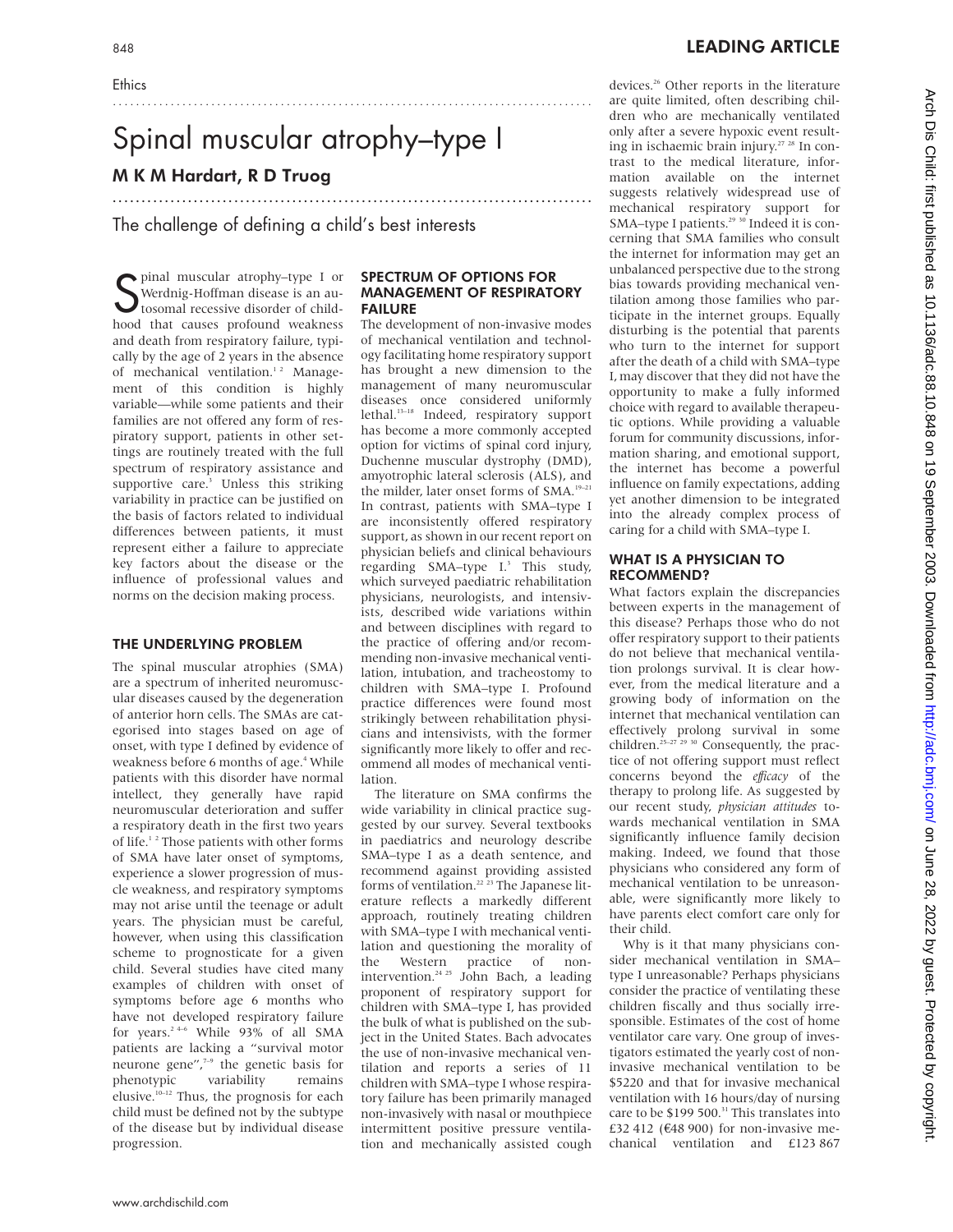**Ethics** 

# Spinal muscular atrophy–type I M K M Hardart, R D Truog

...................................................................................

...................................................................................

The challenge of defining a child's best interests

S pinal muscular atrophy–type I or<br>S Werdnig-Hoffman disease is an au-<br>tosomal recessive disorder of child-Werdnig-Hoffman disease is an autosomal recessive disorder of childhood that causes profound weakness and death from respiratory failure, typically by the age of 2 years in the absence of mechanical ventilation.<sup>12</sup> Management of this condition is highly variable—while some patients and their families are not offered any form of respiratory support, patients in other settings are routinely treated with the full spectrum of respiratory assistance and supportive care.<sup>3</sup> Unless this striking variability in practice can be justified on the basis of factors related to individual differences between patients, it must represent either a failure to appreciate key factors about the disease or the influence of professional values and norms on the decision making process.

#### THE UNDERLYING PROBLEM

The spinal muscular atrophies (SMA) are a spectrum of inherited neuromuscular diseases caused by the degeneration of anterior horn cells. The SMAs are categorised into stages based on age of onset, with type I defined by evidence of weakness before 6 months of age.<sup>4</sup> While patients with this disorder have normal intellect, they generally have rapid neuromuscular deterioration and suffer a respiratory death in the first two years of life.<sup>12</sup> Those patients with other forms of SMA have later onset of symptoms, experience a slower progression of muscle weakness, and respiratory symptoms may not arise until the teenage or adult years. The physician must be careful, however, when using this classification scheme to prognosticate for a given child. Several studies have cited many examples of children with onset of symptoms before age 6 months who have not developed respiratory failure for years.<sup>2 4–6</sup> While 93% of all SMA patients are lacking a "survival motor neurone gene",7–9 the genetic basis for phenotypic variability remains elusive.10–12 Thus, the prognosis for each child must be defined not by the subtype of the disease but by individual disease progression.

#### SPECTRUM OF OPTIONS FOR MANAGEMENT OF RESPIRATORY FAILURE

The development of non-invasive modes of mechanical ventilation and technology facilitating home respiratory support has brought a new dimension to the management of many neuromuscular diseases once considered uniformly lethal.13–18 Indeed, respiratory support has become a more commonly accepted option for victims of spinal cord injury, Duchenne muscular dystrophy (DMD), amyotrophic lateral sclerosis (ALS), and the milder, later onset forms of SMA.<sup>19-21</sup> In contrast, patients with SMA–type I are inconsistently offered respiratory support, as shown in our recent report on physician beliefs and clinical behaviours regarding SMA-type I.<sup>3</sup> This study, which surveyed paediatric rehabilitation physicians, neurologists, and intensivists, described wide variations within and between disciplines with regard to the practice of offering and/or recommending non-invasive mechanical ventilation, intubation, and tracheostomy to children with SMA–type I. Profound practice differences were found most strikingly between rehabilitation physicians and intensivists, with the former significantly more likely to offer and recommend all modes of mechanical ventilation.

The literature on SMA confirms the wide variability in clinical practice suggested by our survey. Several textbooks in paediatrics and neurology describe SMA–type I as a death sentence, and recommend against providing assisted forms of ventilation.<sup>22</sup> <sup>23</sup> The Japanese literature reflects a markedly different approach, routinely treating children with SMA–type I with mechanical ventilation and questioning the morality of the Western practice of nonintervention.24 25 John Bach, a leading proponent of respiratory support for children with SMA–type I, has provided the bulk of what is published on the subject in the United States. Bach advocates the use of non-invasive mechanical ventilation and reports a series of 11 children with SMA–type I whose respiratory failure has been primarily managed non-invasively with nasal or mouthpiece intermittent positive pressure ventilation and mechanically assisted cough

devices.<sup>26</sup> Other reports in the literature are quite limited, often describing children who are mechanically ventilated only after a severe hypoxic event resulting in ischaemic brain injury.27 28 In contrast to the medical literature, information available on the internet suggests relatively widespread use of mechanical respiratory support for SMA-type I patients.<sup>29 30</sup> Indeed it is concerning that SMA families who consult the internet for information may get an unbalanced perspective due to the strong bias towards providing mechanical ventilation among those families who participate in the internet groups. Equally disturbing is the potential that parents who turn to the internet for support after the death of a child with SMA–type I, may discover that they did not have the opportunity to make a fully informed choice with regard to available therapeutic options. While providing a valuable forum for community discussions, information sharing, and emotional support, the internet has become a powerful influence on family expectations, adding yet another dimension to be integrated into the already complex process of caring for a child with SMA–type I.

### WHAT IS A PHYSICIAN TO RECOMMEND?

What factors explain the discrepancies between experts in the management of this disease? Perhaps those who do not offer respiratory support to their patients do not believe that mechanical ventilation prolongs survival. It is clear however, from the medical literature and a growing body of information on the internet that mechanical ventilation can effectively prolong survival in some children.<sup>25-27</sup> <sup>29</sup> <sup>30</sup> Consequently, the practice of not offering support must reflect concerns beyond the *efficacy* of the therapy to prolong life. As suggested by our recent study, *physician attitudes* towards mechanical ventilation in SMA significantly influence family decision making. Indeed, we found that those physicians who considered any form of mechanical ventilation to be unreasonable, were significantly more likely to have parents elect comfort care only for their child.

Why is it that many physicians consider mechanical ventilation in SMA– type I unreasonable? Perhaps physicians consider the practice of ventilating these children fiscally and thus socially irresponsible. Estimates of the cost of home ventilator care vary. One group of investigators estimated the yearly cost of noninvasive mechanical ventilation to be \$5220 and that for invasive mechanical ventilation with 16 hours/day of nursing care to be \$199 500.<sup>31</sup> This translates into £32 412 ( $€48$  900) for non-invasive mechanical ventilation and £123 867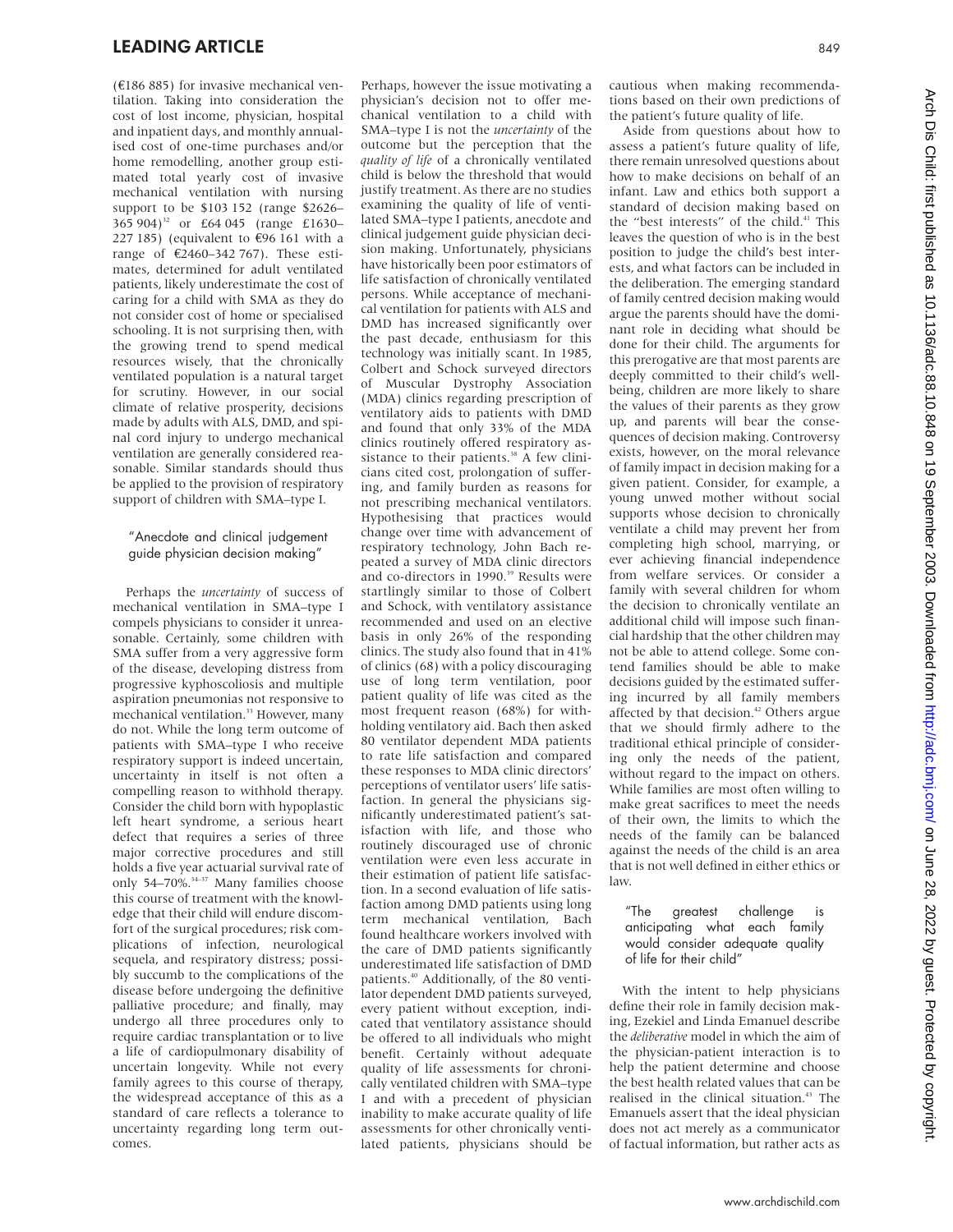(€186 885) for invasive mechanical ventilation. Taking into consideration the cost of lost income, physician, hospital and inpatient days, and monthly annualised cost of one-time purchases and/or home remodelling, another group estimated total yearly cost of invasive mechanical ventilation with nursing support to be \$103 152 (range \$2626– 365 904)<sup>32</sup> or £64 045 (range £1630– 227 185) (equivalent to  $€96$  161 with a range of €2460–342 767). These estimates, determined for adult ventilated patients, likely underestimate the cost of caring for a child with SMA as they do not consider cost of home or specialised schooling. It is not surprising then, with the growing trend to spend medical resources wisely, that the chronically ventilated population is a natural target for scrutiny. However, in our social climate of relative prosperity, decisions made by adults with ALS, DMD, and spinal cord injury to undergo mechanical ventilation are generally considered reasonable. Similar standards should thus be applied to the provision of respiratory support of children with SMA–type I.

#### "Anecdote and clinical judgement guide physician decision making"

Perhaps the *uncertainty* of success of mechanical ventilation in SMA–type I compels physicians to consider it unreasonable. Certainly, some children with SMA suffer from a very aggressive form of the disease, developing distress from progressive kyphoscoliosis and multiple aspiration pneumonias not responsive to mechanical ventilation.<sup>33</sup> However, many do not. While the long term outcome of patients with SMA–type I who receive respiratory support is indeed uncertain, uncertainty in itself is not often a compelling reason to withhold therapy. Consider the child born with hypoplastic left heart syndrome, a serious heart defect that requires a series of three major corrective procedures and still holds a five year actuarial survival rate of only 54–70%.<sup>34–37</sup> Many families choose this course of treatment with the knowledge that their child will endure discomfort of the surgical procedures; risk complications of infection, neurological sequela, and respiratory distress; possibly succumb to the complications of the disease before undergoing the definitive palliative procedure; and finally, may undergo all three procedures only to require cardiac transplantation or to live a life of cardiopulmonary disability of uncertain longevity. While not every family agrees to this course of therapy, the widespread acceptance of this as a standard of care reflects a tolerance to uncertainty regarding long term outcomes.

Perhaps, however the issue motivating a physician's decision not to offer mechanical ventilation to a child with SMA–type I is not the *uncertainty* of the outcome but the perception that the *quality of life* of a chronically ventilated child is below the threshold that would justify treatment. As there are no studies examining the quality of life of ventilated SMA–type I patients, anecdote and clinical judgement guide physician decision making. Unfortunately, physicians have historically been poor estimators of life satisfaction of chronically ventilated persons. While acceptance of mechanical ventilation for patients with ALS and DMD has increased significantly over the past decade, enthusiasm for this technology was initially scant. In 1985, Colbert and Schock surveyed directors of Muscular Dystrophy Association (MDA) clinics regarding prescription of ventilatory aids to patients with DMD and found that only 33% of the MDA clinics routinely offered respiratory assistance to their patients.<sup>38</sup> A few clinicians cited cost, prolongation of suffering, and family burden as reasons for not prescribing mechanical ventilators. Hypothesising that practices would change over time with advancement of respiratory technology, John Bach repeated a survey of MDA clinic directors and co-directors in 1990.<sup>39</sup> Results were startlingly similar to those of Colbert and Schock, with ventilatory assistance recommended and used on an elective basis in only 26% of the responding clinics. The study also found that in 41% of clinics (68) with a policy discouraging use of long term ventilation, poor patient quality of life was cited as the most frequent reason (68%) for withholding ventilatory aid. Bach then asked 80 ventilator dependent MDA patients to rate life satisfaction and compared these responses to MDA clinic directors' perceptions of ventilator users' life satisfaction. In general the physicians significantly underestimated patient's satisfaction with life, and those who routinely discouraged use of chronic ventilation were even less accurate in their estimation of patient life satisfaction. In a second evaluation of life satisfaction among DMD patients using long term mechanical ventilation, Bach found healthcare workers involved with the care of DMD patients significantly underestimated life satisfaction of DMD patients.<sup>40</sup> Additionally, of the 80 ventilator dependent DMD patients surveyed, every patient without exception, indicated that ventilatory assistance should be offered to all individuals who might benefit. Certainly without adequate quality of life assessments for chronically ventilated children with SMA–type I and with a precedent of physician inability to make accurate quality of life assessments for other chronically ventilated patients, physicians should be

cautious when making recommendations based on their own predictions of the patient's future quality of life.

Aside from questions about how to assess a patient's future quality of life, there remain unresolved questions about how to make decisions on behalf of an infant. Law and ethics both support a standard of decision making based on the "best interests" of the child.<sup>41</sup> This leaves the question of who is in the best position to judge the child's best interests, and what factors can be included in the deliberation. The emerging standard of family centred decision making would argue the parents should have the dominant role in deciding what should be done for their child. The arguments for this prerogative are that most parents are deeply committed to their child's wellbeing, children are more likely to share the values of their parents as they grow up, and parents will bear the consequences of decision making. Controversy exists, however, on the moral relevance of family impact in decision making for a given patient. Consider, for example, a young unwed mother without social supports whose decision to chronically ventilate a child may prevent her from completing high school, marrying, or ever achieving financial independence from welfare services. Or consider a family with several children for whom the decision to chronically ventilate an additional child will impose such financial hardship that the other children may not be able to attend college. Some contend families should be able to make decisions guided by the estimated suffering incurred by all family members affected by that decision.<sup>42</sup> Others argue that we should firmly adhere to the traditional ethical principle of considering only the needs of the patient, without regard to the impact on others. While families are most often willing to make great sacrifices to meet the needs of their own, the limits to which the needs of the family can be balanced against the needs of the child is an area that is not well defined in either ethics or law.

#### "The greatest challenge is anticipating what each family would consider adequate quality of life for their child"

With the intent to help physicians define their role in family decision making, Ezekiel and Linda Emanuel describe the *deliberative* model in which the aim of the physician-patient interaction is to help the patient determine and choose the best health related values that can be realised in the clinical situation.<sup>43</sup> The Emanuels assert that the ideal physician does not act merely as a communicator of factual information, but rather acts as